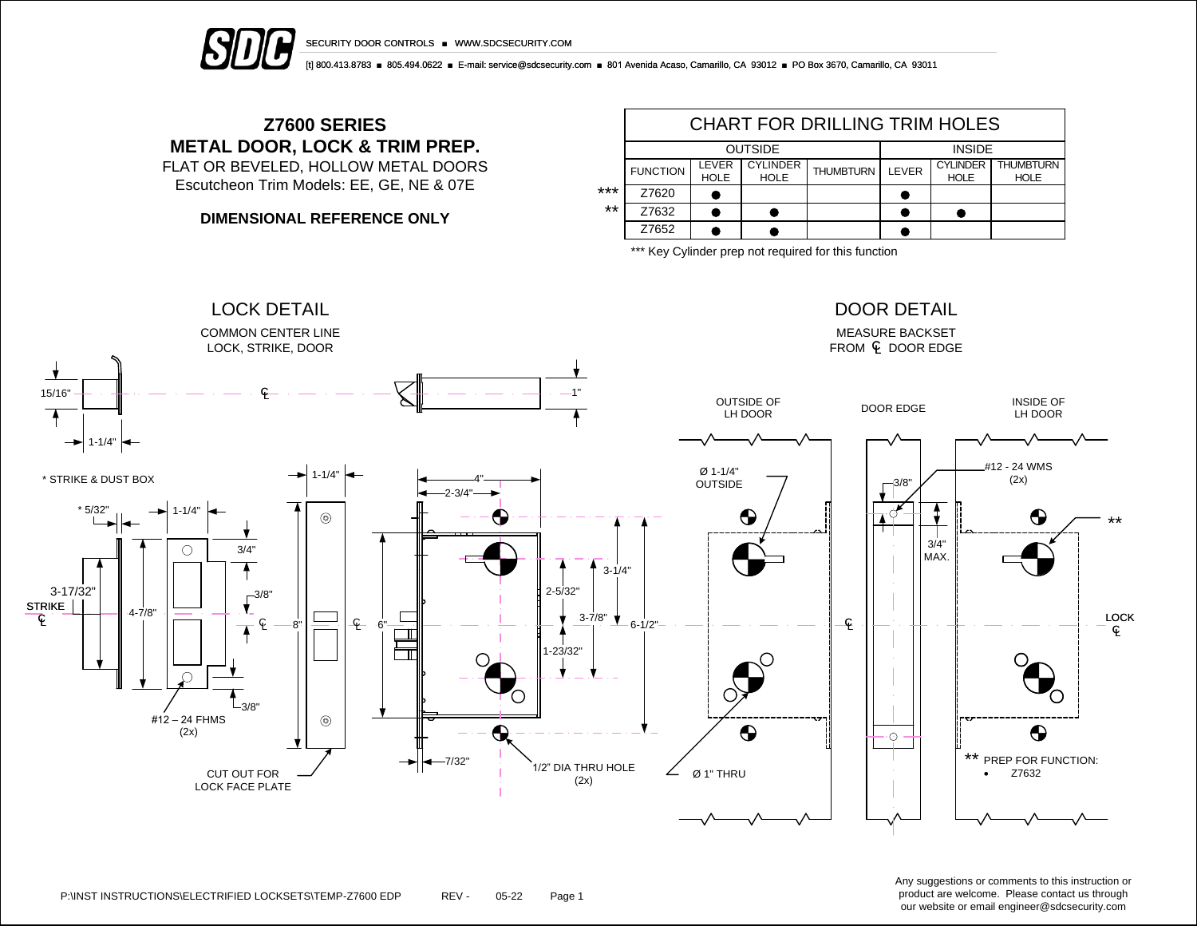

SECURITY DOOR CONTROLS ■ WWW.SDCSECURITY.COM

[t] 800.413.8783 ■ 805.494.0622 ■ E-mail: service@sdcsecurity.com ■ 801 Avenida Acaso, Camarillo, CA 93012 ■ PO Box 3670, Camarillo, CA 93011

## **Z7600 SERIES METAL DOOR, LOCK & TRIM PREP.**

FLAT OR BEVELED, HOLLOW METAL DOORS Escutcheon Trim Models: EE, GE, NE & 07E

**DIMENSIONAL REFERENCE ONLY**

|       | CHART FOR DRILLING TRIM HOLES |                      |                                |                  |               |                                |                                 |  |  |  |  |
|-------|-------------------------------|----------------------|--------------------------------|------------------|---------------|--------------------------------|---------------------------------|--|--|--|--|
|       |                               |                      | <b>OUTSIDE</b>                 | <b>INSIDE</b>    |               |                                |                                 |  |  |  |  |
|       | <b>FUNCTION</b>               | LEVER<br><b>HOLE</b> | <b>CYLINDER</b><br><b>HOLE</b> | <b>THUMBTURN</b> | <b>I FVFR</b> | <b>CYLINDER</b><br><b>HOLE</b> | <b>THUMBTURN</b><br><b>HOLE</b> |  |  |  |  |
| ***   | Z7620                         |                      |                                |                  |               |                                |                                 |  |  |  |  |
| $***$ | Z7632                         |                      |                                |                  |               |                                |                                 |  |  |  |  |
|       | Z7652                         |                      |                                |                  |               |                                |                                 |  |  |  |  |

\*\*\* Key Cylinder prep not required for this function



Any suggestions or comments to this instruction or product are welcome. Please contact us through our website or email engineer@sdcsecurity.com